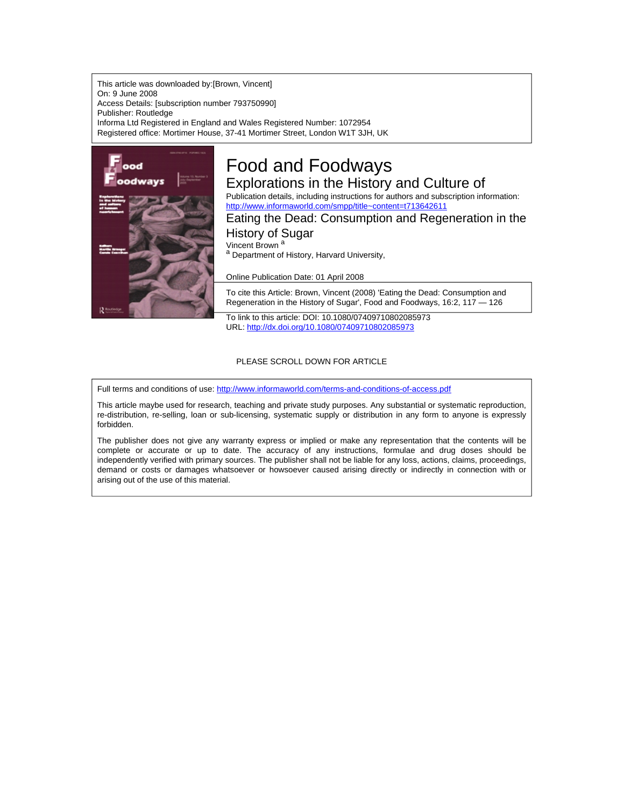This article was downloaded by:[Brown, Vincent] On: 9 June 2008 Access Details: [subscription number 793750990] Publisher: Routledge Informa Ltd Registered in England and Wales Registered Number: 1072954 Registered office: Mortimer House, 37-41 Mortimer Street, London W1T 3JH, UK



# Food and Foodways

## Explorations in the History and Culture of Publication details, including instructions for authors and subscription information:

<http://www.informaworld.com/smpp/title~content=t713642611>

## Eating the Dead: Consumption and Regeneration in the

History of Sugar Vincent Brown<sup>a</sup> a Department of History, Harvard University,

Online Publication Date: 01 April 2008

To cite this Article: Brown, Vincent (2008) 'Eating the Dead: Consumption and Regeneration in the History of Sugar', Food and Foodways, 16:2, 117 — 126

To link to this article: DOI: 10.1080/07409710802085973 URL: <http://dx.doi.org/10.1080/07409710802085973>

### PLEASE SCROLL DOWN FOR ARTICLE

Full terms and conditions of use: <http://www.informaworld.com/terms-and-conditions-of-access.pdf>

This article maybe used for research, teaching and private study purposes. Any substantial or systematic reproduction, re-distribution, re-selling, loan or sub-licensing, systematic supply or distribution in any form to anyone is expressly forbidden.

The publisher does not give any warranty express or implied or make any representation that the contents will be complete or accurate or up to date. The accuracy of any instructions, formulae and drug doses should be independently verified with primary sources. The publisher shall not be liable for any loss, actions, claims, proceedings, demand or costs or damages whatsoever or howsoever caused arising directly or indirectly in connection with or arising out of the use of this material.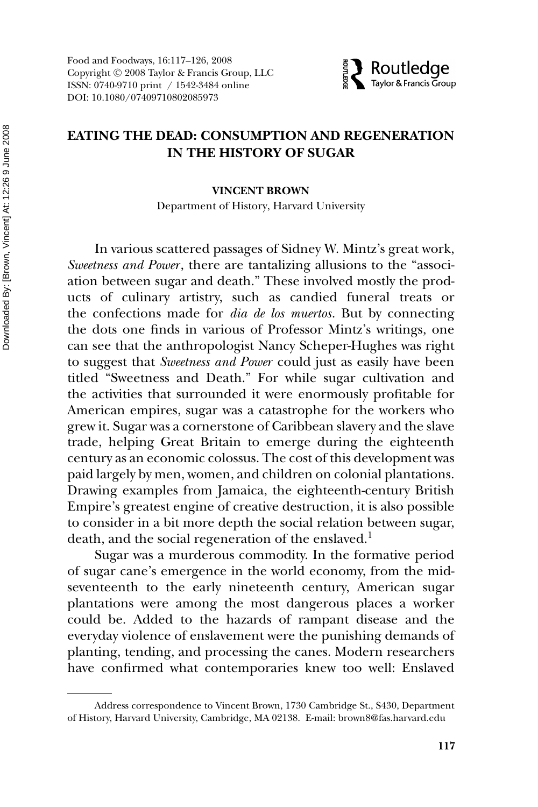Food and Foodways, 16:117–126, 2008 Copyright <sup>C</sup> 2008 Taylor & Francis Group, LLC ISSN: 0740-9710 print / 1542-3484 online DOI: 10.1080/07409710802085973



## **EATING THE DEAD: CONSUMPTION AND REGENERATION IN THE HISTORY OF SUGAR**

#### **VINCENT BROWN**

Department of History, Harvard University

In various scattered passages of Sidney W. Mintz's great work, *Sweetness and Power*, there are tantalizing allusions to the "association between sugar and death." These involved mostly the products of culinary artistry, such as candied funeral treats or the confections made for *dia de los muertos*. But by connecting the dots one finds in various of Professor Mintz's writings, one can see that the anthropologist Nancy Scheper-Hughes was right to suggest that *Sweetness and Power* could just as easily have been titled "Sweetness and Death." For while sugar cultivation and the activities that surrounded it were enormously profitable for American empires, sugar was a catastrophe for the workers who grew it. Sugar was a cornerstone of Caribbean slavery and the slave trade, helping Great Britain to emerge during the eighteenth century as an economic colossus. The cost of this development was paid largely by men, women, and children on colonial plantations. Drawing examples from Jamaica, the eighteenth-century British Empire's greatest engine of creative destruction, it is also possible to consider in a bit more depth the social relation between sugar, death, and the social regeneration of the enslaved.<sup>1</sup>

Sugar was a murderous commodity. In the formative period of sugar cane's emergence in the world economy, from the midseventeenth to the early nineteenth century, American sugar plantations were among the most dangerous places a worker could be. Added to the hazards of rampant disease and the everyday violence of enslavement were the punishing demands of planting, tending, and processing the canes. Modern researchers have confirmed what contemporaries knew too well: Enslaved

Address correspondence to Vincent Brown, 1730 Cambridge St., S430, Department of History, Harvard University, Cambridge, MA 02138. E-mail: brown8@fas.harvard.edu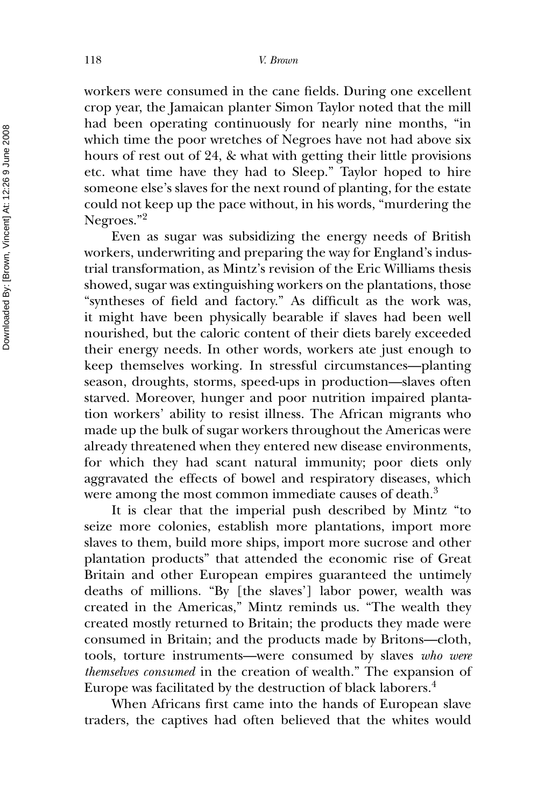workers were consumed in the cane fields. During one excellent crop year, the Jamaican planter Simon Taylor noted that the mill had been operating continuously for nearly nine months, "in which time the poor wretches of Negroes have not had above six hours of rest out of 24, & what with getting their little provisions etc. what time have they had to Sleep." Taylor hoped to hire someone else's slaves for the next round of planting, for the estate could not keep up the pace without, in his words, "murdering the Negroes."2

Even as sugar was subsidizing the energy needs of British workers, underwriting and preparing the way for England's industrial transformation, as Mintz's revision of the Eric Williams thesis showed, sugar was extinguishing workers on the plantations, those "syntheses of field and factory." As difficult as the work was, it might have been physically bearable if slaves had been well nourished, but the caloric content of their diets barely exceeded their energy needs. In other words, workers ate just enough to keep themselves working. In stressful circumstances—planting season, droughts, storms, speed-ups in production—slaves often starved. Moreover, hunger and poor nutrition impaired plantation workers' ability to resist illness. The African migrants who made up the bulk of sugar workers throughout the Americas were already threatened when they entered new disease environments, for which they had scant natural immunity; poor diets only aggravated the effects of bowel and respiratory diseases, which were among the most common immediate causes of death.<sup>3</sup>

It is clear that the imperial push described by Mintz "to seize more colonies, establish more plantations, import more slaves to them, build more ships, import more sucrose and other plantation products" that attended the economic rise of Great Britain and other European empires guaranteed the untimely deaths of millions. "By [the slaves'] labor power, wealth was created in the Americas," Mintz reminds us. "The wealth they created mostly returned to Britain; the products they made were consumed in Britain; and the products made by Britons—cloth, tools, torture instruments—were consumed by slaves *who were themselves consumed* in the creation of wealth." The expansion of Europe was facilitated by the destruction of black laborers.<sup>4</sup>

When Africans first came into the hands of European slave traders, the captives had often believed that the whites would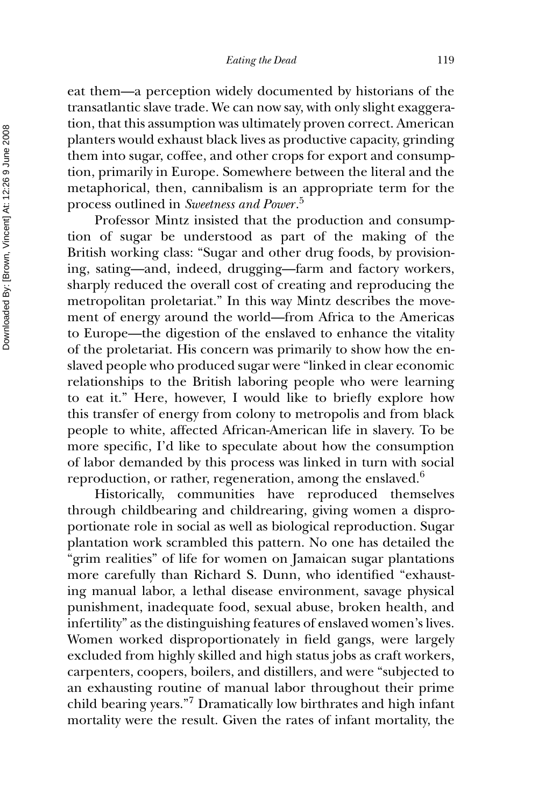eat them—a perception widely documented by historians of the transatlantic slave trade. We can now say, with only slight exaggeration, that this assumption was ultimately proven correct. American planters would exhaust black lives as productive capacity, grinding them into sugar, coffee, and other crops for export and consumption, primarily in Europe. Somewhere between the literal and the metaphorical, then, cannibalism is an appropriate term for the process outlined in *Sweetness and Power*. 5

Professor Mintz insisted that the production and consumption of sugar be understood as part of the making of the British working class: "Sugar and other drug foods, by provisioning, sating—and, indeed, drugging—farm and factory workers, sharply reduced the overall cost of creating and reproducing the metropolitan proletariat." In this way Mintz describes the movement of energy around the world—from Africa to the Americas to Europe—the digestion of the enslaved to enhance the vitality of the proletariat. His concern was primarily to show how the enslaved people who produced sugar were "linked in clear economic relationships to the British laboring people who were learning to eat it." Here, however, I would like to briefly explore how this transfer of energy from colony to metropolis and from black people to white, affected African-American life in slavery. To be more specific, I'd like to speculate about how the consumption of labor demanded by this process was linked in turn with social reproduction, or rather, regeneration, among the enslaved.<sup>6</sup>

Historically, communities have reproduced themselves through childbearing and childrearing, giving women a disproportionate role in social as well as biological reproduction. Sugar plantation work scrambled this pattern. No one has detailed the "grim realities" of life for women on Jamaican sugar plantations more carefully than Richard S. Dunn, who identified "exhausting manual labor, a lethal disease environment, savage physical punishment, inadequate food, sexual abuse, broken health, and infertility" as the distinguishing features of enslaved women's lives. Women worked disproportionately in field gangs, were largely excluded from highly skilled and high status jobs as craft workers, carpenters, coopers, boilers, and distillers, and were "subjected to an exhausting routine of manual labor throughout their prime child bearing years."7 Dramatically low birthrates and high infant mortality were the result. Given the rates of infant mortality, the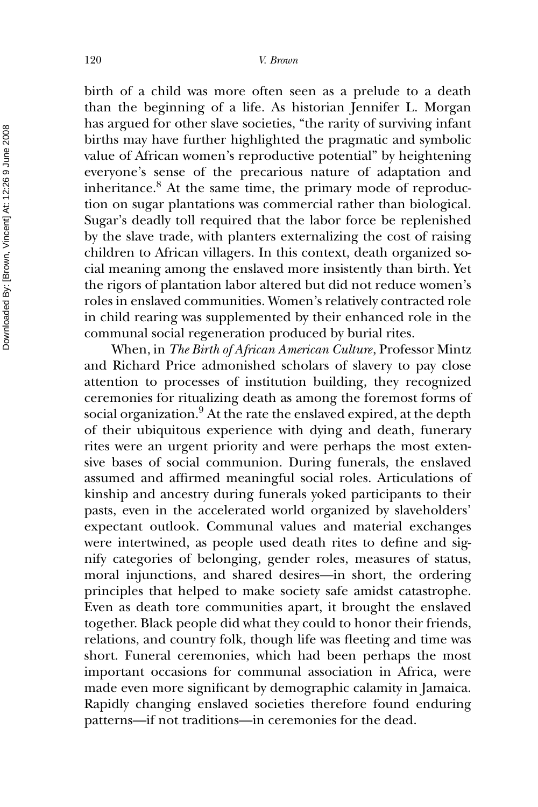birth of a child was more often seen as a prelude to a death than the beginning of a life. As historian Jennifer L. Morgan has argued for other slave societies, "the rarity of surviving infant births may have further highlighted the pragmatic and symbolic value of African women's reproductive potential" by heightening everyone's sense of the precarious nature of adaptation and inheritance.<sup>8</sup> At the same time, the primary mode of reproduction on sugar plantations was commercial rather than biological. Sugar's deadly toll required that the labor force be replenished by the slave trade, with planters externalizing the cost of raising children to African villagers. In this context, death organized social meaning among the enslaved more insistently than birth. Yet the rigors of plantation labor altered but did not reduce women's roles in enslaved communities. Women's relatively contracted role in child rearing was supplemented by their enhanced role in the communal social regeneration produced by burial rites.

When, in *The Birth of African American Culture*, Professor Mintz and Richard Price admonished scholars of slavery to pay close attention to processes of institution building, they recognized ceremonies for ritualizing death as among the foremost forms of social organization.<sup>9</sup> At the rate the enslaved expired, at the depth of their ubiquitous experience with dying and death, funerary rites were an urgent priority and were perhaps the most extensive bases of social communion. During funerals, the enslaved assumed and affirmed meaningful social roles. Articulations of kinship and ancestry during funerals yoked participants to their pasts, even in the accelerated world organized by slaveholders' expectant outlook. Communal values and material exchanges were intertwined, as people used death rites to define and signify categories of belonging, gender roles, measures of status, moral injunctions, and shared desires—in short, the ordering principles that helped to make society safe amidst catastrophe. Even as death tore communities apart, it brought the enslaved together. Black people did what they could to honor their friends, relations, and country folk, though life was fleeting and time was short. Funeral ceremonies, which had been perhaps the most important occasions for communal association in Africa, were made even more significant by demographic calamity in Jamaica. Rapidly changing enslaved societies therefore found enduring patterns—if not traditions—in ceremonies for the dead.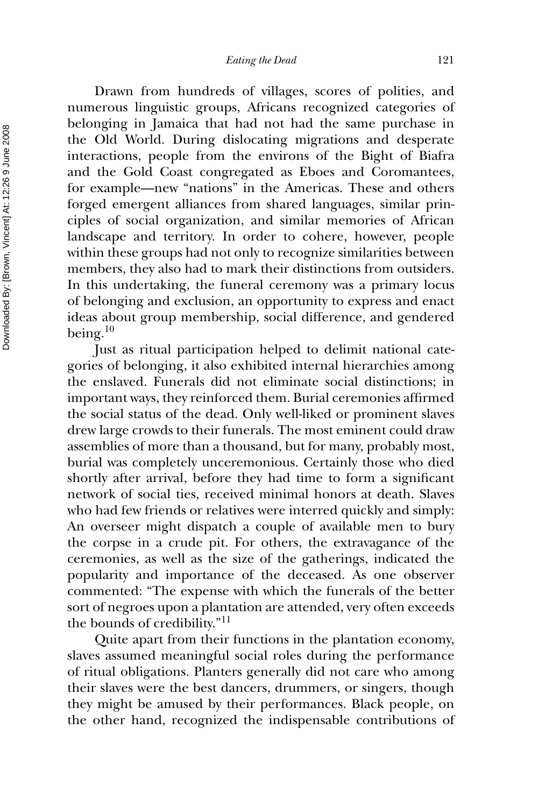Drawn from hundreds of villages, scores of polities, and numerous linguistic groups, Africans recognized categories of belonging in Jamaica that had not had the same purchase in the Old World. During dislocating migrations and desperate interactions, people from the environs of the Bight of Biafra and the Gold Coast congregated as Eboes and Coromantees, for example—new "nations" in the Americas. These and others forged emergent alliances from shared languages, similar principles of social organization, and similar memories of African landscape and territory. In order to cohere, however, people within these groups had not only to recognize similarities between members, they also had to mark their distinctions from outsiders. In this undertaking, the funeral ceremony was a primary locus of belonging and exclusion, an opportunity to express and enact ideas about group membership, social difference, and gendered being. $10$ 

Just as ritual participation helped to delimit national categories of belonging, it also exhibited internal hierarchies among the enslaved. Funerals did not eliminate social distinctions; in important ways, they reinforced them. Burial ceremonies affirmed the social status of the dead. Only well-liked or prominent slaves drew large crowds to their funerals. The most eminent could draw assemblies of more than a thousand, but for many, probably most, burial was completely unceremonious. Certainly those who died shortly after arrival, before they had time to form a significant network of social ties, received minimal honors at death. Slaves who had few friends or relatives were interred quickly and simply: An overseer might dispatch a couple of available men to bury the corpse in a crude pit. For others, the extravagance of the ceremonies, as well as the size of the gatherings, indicated the popularity and importance of the deceased. As one observer commented: "The expense with which the funerals of the better sort of negroes upon a plantation are attended, very often exceeds the bounds of credibility."11

Quite apart from their functions in the plantation economy, slaves assumed meaningful social roles during the performance of ritual obligations. Planters generally did not care who among their slaves were the best dancers, drummers, or singers, though they might be amused by their performances. Black people, on the other hand, recognized the indispensable contributions of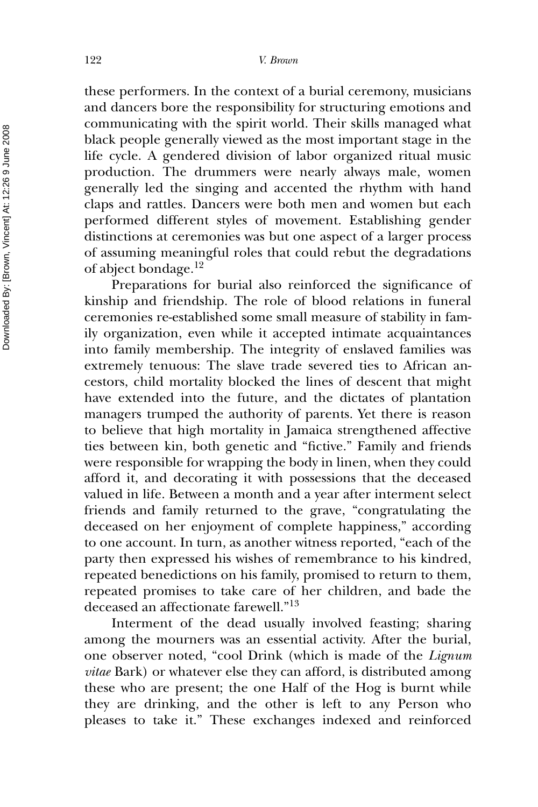these performers. In the context of a burial ceremony, musicians and dancers bore the responsibility for structuring emotions and communicating with the spirit world. Their skills managed what black people generally viewed as the most important stage in the life cycle. A gendered division of labor organized ritual music production. The drummers were nearly always male, women generally led the singing and accented the rhythm with hand claps and rattles. Dancers were both men and women but each performed different styles of movement. Establishing gender distinctions at ceremonies was but one aspect of a larger process of assuming meaningful roles that could rebut the degradations of abject bondage.<sup>12</sup>

Preparations for burial also reinforced the significance of kinship and friendship. The role of blood relations in funeral ceremonies re-established some small measure of stability in family organization, even while it accepted intimate acquaintances into family membership. The integrity of enslaved families was extremely tenuous: The slave trade severed ties to African ancestors, child mortality blocked the lines of descent that might have extended into the future, and the dictates of plantation managers trumped the authority of parents. Yet there is reason to believe that high mortality in Jamaica strengthened affective ties between kin, both genetic and "fictive." Family and friends were responsible for wrapping the body in linen, when they could afford it, and decorating it with possessions that the deceased valued in life. Between a month and a year after interment select friends and family returned to the grave, "congratulating the deceased on her enjoyment of complete happiness," according to one account. In turn, as another witness reported, "each of the party then expressed his wishes of remembrance to his kindred, repeated benedictions on his family, promised to return to them, repeated promises to take care of her children, and bade the deceased an affectionate farewell."<sup>13</sup>

Interment of the dead usually involved feasting; sharing among the mourners was an essential activity. After the burial, one observer noted, "cool Drink (which is made of the *Lignum vitae* Bark) or whatever else they can afford, is distributed among these who are present; the one Half of the Hog is burnt while they are drinking, and the other is left to any Person who pleases to take it." These exchanges indexed and reinforced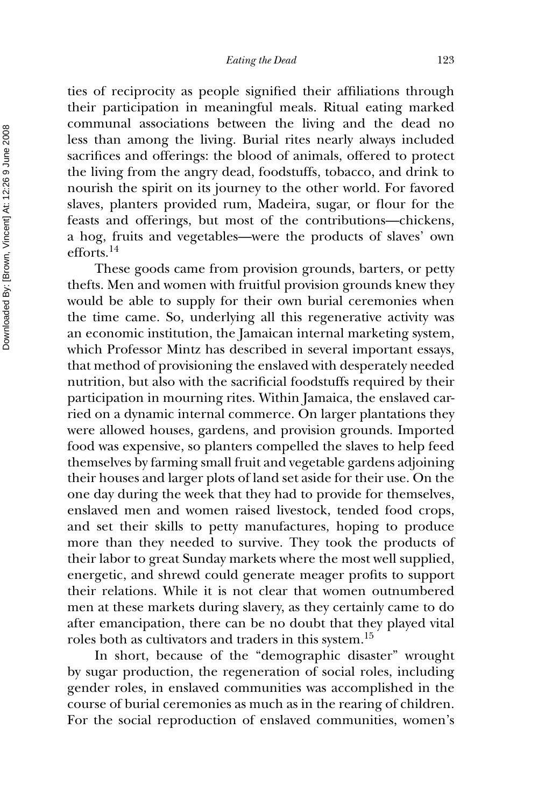ties of reciprocity as people signified their affiliations through their participation in meaningful meals. Ritual eating marked communal associations between the living and the dead no less than among the living. Burial rites nearly always included sacrifices and offerings: the blood of animals, offered to protect the living from the angry dead, foodstuffs, tobacco, and drink to nourish the spirit on its journey to the other world. For favored slaves, planters provided rum, Madeira, sugar, or flour for the feasts and offerings, but most of the contributions—chickens, a hog, fruits and vegetables—were the products of slaves' own efforts.<sup>14</sup>

These goods came from provision grounds, barters, or petty thefts. Men and women with fruitful provision grounds knew they would be able to supply for their own burial ceremonies when the time came. So, underlying all this regenerative activity was an economic institution, the Jamaican internal marketing system, which Professor Mintz has described in several important essays, that method of provisioning the enslaved with desperately needed nutrition, but also with the sacrificial foodstuffs required by their participation in mourning rites. Within Jamaica, the enslaved carried on a dynamic internal commerce. On larger plantations they were allowed houses, gardens, and provision grounds. Imported food was expensive, so planters compelled the slaves to help feed themselves by farming small fruit and vegetable gardens adjoining their houses and larger plots of land set aside for their use. On the one day during the week that they had to provide for themselves, enslaved men and women raised livestock, tended food crops, and set their skills to petty manufactures, hoping to produce more than they needed to survive. They took the products of their labor to great Sunday markets where the most well supplied, energetic, and shrewd could generate meager profits to support their relations. While it is not clear that women outnumbered men at these markets during slavery, as they certainly came to do after emancipation, there can be no doubt that they played vital roles both as cultivators and traders in this system.<sup>15</sup>

In short, because of the "demographic disaster" wrought by sugar production, the regeneration of social roles, including gender roles, in enslaved communities was accomplished in the course of burial ceremonies as much as in the rearing of children. For the social reproduction of enslaved communities, women's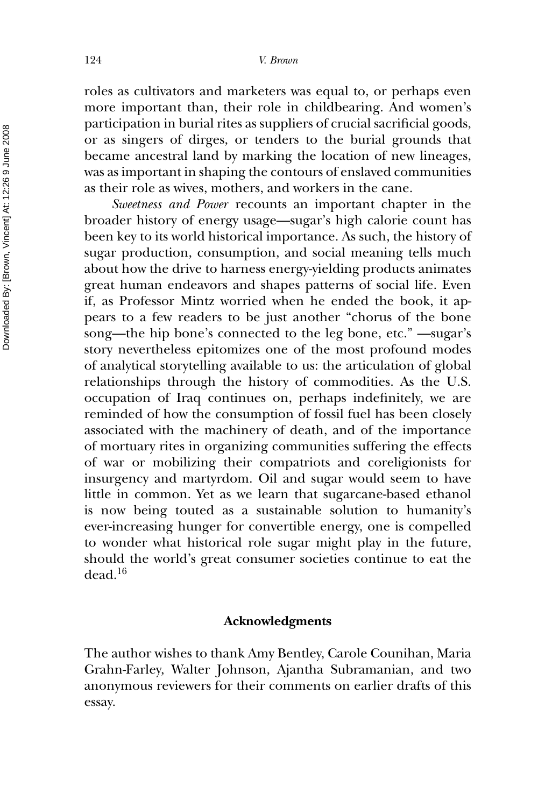roles as cultivators and marketers was equal to, or perhaps even more important than, their role in childbearing. And women's participation in burial rites as suppliers of crucial sacrificial goods, or as singers of dirges, or tenders to the burial grounds that became ancestral land by marking the location of new lineages, was as important in shaping the contours of enslaved communities as their role as wives, mothers, and workers in the cane.

*Sweetness and Power* recounts an important chapter in the broader history of energy usage—sugar's high calorie count has been key to its world historical importance. As such, the history of sugar production, consumption, and social meaning tells much about how the drive to harness energy-yielding products animates great human endeavors and shapes patterns of social life. Even if, as Professor Mintz worried when he ended the book, it appears to a few readers to be just another "chorus of the bone song—the hip bone's connected to the leg bone, etc." —sugar's story nevertheless epitomizes one of the most profound modes of analytical storytelling available to us: the articulation of global relationships through the history of commodities. As the U.S. occupation of Iraq continues on, perhaps indefinitely, we are reminded of how the consumption of fossil fuel has been closely associated with the machinery of death, and of the importance of mortuary rites in organizing communities suffering the effects of war or mobilizing their compatriots and coreligionists for insurgency and martyrdom. Oil and sugar would seem to have little in common. Yet as we learn that sugarcane-based ethanol is now being touted as a sustainable solution to humanity's ever-increasing hunger for convertible energy, one is compelled to wonder what historical role sugar might play in the future, should the world's great consumer societies continue to eat the dead.<sup>16</sup>

#### **Acknowledgments**

The author wishes to thank Amy Bentley, Carole Counihan, Maria Grahn-Farley, Walter Johnson, Ajantha Subramanian, and two anonymous reviewers for their comments on earlier drafts of this essay.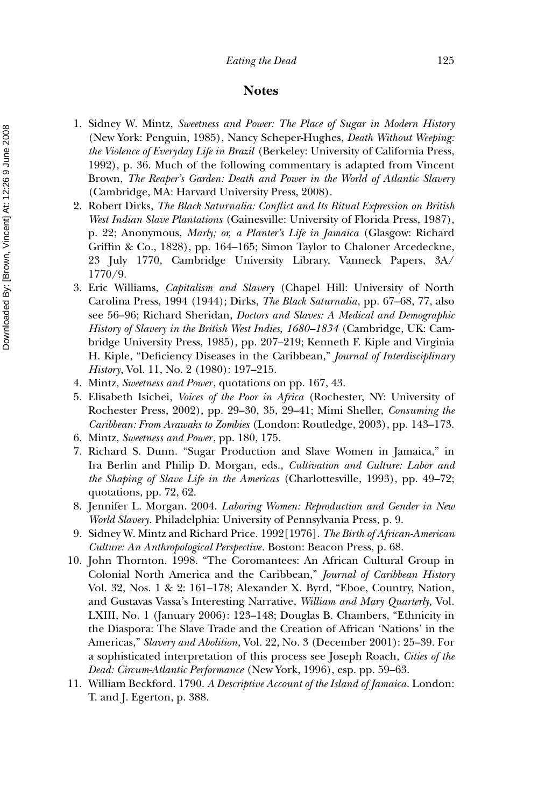#### **Notes**

- 1. Sidney W. Mintz, *Sweetness and Power: The Place of Sugar in Modern History* (New York: Penguin, 1985), Nancy Scheper-Hughes, *Death Without Weeping: the Violence of Everyday Life in Brazil* (Berkeley: University of California Press, 1992), p. 36. Much of the following commentary is adapted from Vincent Brown, *The Reaper's Garden: Death and Power in the World of Atlantic Slavery* (Cambridge, MA: Harvard University Press, 2008).
- 2. Robert Dirks, *The Black Saturnalia: Conflict and Its Ritual Expression on British West Indian Slave Plantations* (Gainesville: University of Florida Press, 1987), p. 22; Anonymous, *Marly; or, a Planter's Life in Jamaica* (Glasgow: Richard Griffin & Co., 1828), pp. 164–165; Simon Taylor to Chaloner Arcedeckne, 23 July 1770, Cambridge University Library, Vanneck Papers, 3A/ 1770/9.
- 3. Eric Williams, *Capitalism and Slavery* (Chapel Hill: University of North Carolina Press, 1994 (1944); Dirks, *The Black Saturnalia*, pp. 67–68, 77, also see 56–96; Richard Sheridan, *Doctors and Slaves: A Medical and Demographic History of Slavery in the British West Indies, 1680–1834* (Cambridge, UK: Cambridge University Press, 1985), pp. 207–219; Kenneth F. Kiple and Virginia H. Kiple, "Deficiency Diseases in the Caribbean," *Journal of Interdisciplinary History*, Vol. 11, No. 2 (1980): 197–215.
- 4. Mintz, *Sweetness and Power*, quotations on pp. 167, 43.
- 5. Elisabeth Isichei, *Voices of the Poor in Africa* (Rochester, NY: University of Rochester Press, 2002), pp. 29–30, 35, 29–41; Mimi Sheller, *Consuming the Caribbean: From Arawaks to Zombies* (London: Routledge, 2003), pp. 143–173.
- 6. Mintz, *Sweetness and Power*, pp. 180, 175.
- 7. Richard S. Dunn. "Sugar Production and Slave Women in Jamaica," in Ira Berlin and Philip D. Morgan, eds., *Cultivation and Culture: Labor and the Shaping of Slave Life in the Americas* (Charlottesville, 1993), pp. 49–72; quotations, pp. 72, 62.
- 8. Jennifer L. Morgan. 2004. *Laboring Women: Reproduction and Gender in New World Slavery*. Philadelphia: University of Pennsylvania Press, p. 9.
- 9. Sidney W. Mintz and Richard Price. 1992[1976]. *The Birth of African-American Culture: An Anthropological Perspective*. Boston: Beacon Press, p. 68.
- 10. John Thornton. 1998. "The Coromantees: An African Cultural Group in Colonial North America and the Caribbean," *Journal of Caribbean History* Vol. 32, Nos. 1 & 2: 161–178; Alexander X. Byrd, "Eboe, Country, Nation, and Gustavas Vassa's Interesting Narrative, *William and Mary Quarterly*, Vol. LXIII, No. 1 (January 2006): 123–148; Douglas B. Chambers, "Ethnicity in the Diaspora: The Slave Trade and the Creation of African 'Nations' in the Americas," *Slavery and Abolition*, Vol. 22, No. 3 (December 2001): 25–39. For a sophisticated interpretation of this process see Joseph Roach, *Cities of the Dead: Circum-Atlantic Performance* (New York, 1996), esp. pp. 59–63.
- 11. William Beckford. 1790. *A Descriptive Account of the Island of Jamaica*. London: T. and J. Egerton, p. 388.